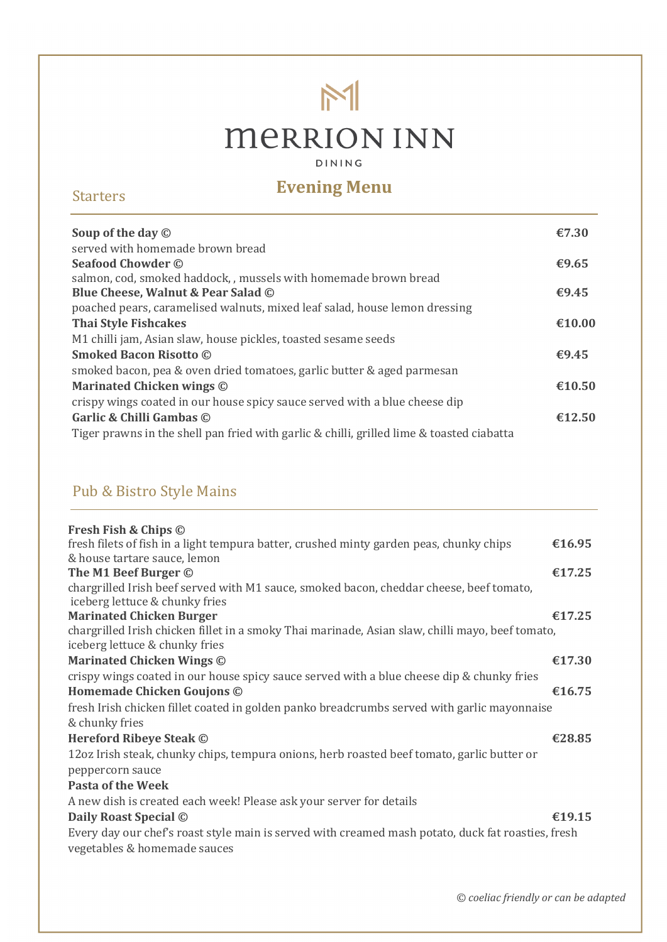# $M$ **MERRION INN**

DINING

## **Evening Menu**<br> **Evening Menu**

| Soup of the day $\odot$                                                                   | €7.30  |
|-------------------------------------------------------------------------------------------|--------|
| served with homemade brown bread                                                          |        |
| <b>Seafood Chowder ©</b>                                                                  | €9.65  |
| salmon, cod, smoked haddock, , mussels with homemade brown bread                          |        |
| Blue Cheese, Walnut & Pear Salad ©                                                        | €9.45  |
| poached pears, caramelised walnuts, mixed leaf salad, house lemon dressing                |        |
| <b>Thai Style Fishcakes</b>                                                               | €10.00 |
| M1 chilli jam, Asian slaw, house pickles, toasted sesame seeds                            |        |
| <b>Smoked Bacon Risotto ©</b>                                                             | €9.45  |
| smoked bacon, pea & oven dried tomatoes, garlic butter & aged parmesan                    |        |
| <b>Marinated Chicken wings ©</b>                                                          | €10.50 |
| crispy wings coated in our house spicy sauce served with a blue cheese dip                |        |
| Garlic & Chilli Gambas ©                                                                  | €12.50 |
| Tiger prawns in the shell pan fried with garlic & chilli, grilled lime & toasted ciabatta |        |

### Pub & Bistro Style Mains

| Fresh Fish & Chips ©                                                                               |        |
|----------------------------------------------------------------------------------------------------|--------|
| fresh filets of fish in a light tempura batter, crushed minty garden peas, chunky chips            | €16.95 |
| & house tartare sauce, lemon                                                                       |        |
| The M1 Beef Burger ©                                                                               | €17.25 |
| chargrilled Irish beef served with M1 sauce, smoked bacon, cheddar cheese, beef tomato,            |        |
| iceberg lettuce & chunky fries                                                                     |        |
| <b>Marinated Chicken Burger</b>                                                                    | €17.25 |
| chargrilled Irish chicken fillet in a smoky Thai marinade, Asian slaw, chilli mayo, beef tomato,   |        |
| iceberg lettuce & chunky fries                                                                     |        |
| <b>Marinated Chicken Wings ©</b>                                                                   | €17.30 |
| crispy wings coated in our house spicy sauce served with a blue cheese dip & chunky fries          |        |
| Homemade Chicken Goujons ©                                                                         | €16.75 |
| fresh Irish chicken fillet coated in golden panko breadcrumbs served with garlic mayonnaise        |        |
| & chunky fries                                                                                     |        |
| <b>Hereford Ribeye Steak ©</b>                                                                     | €28.85 |
| 12oz Irish steak, chunky chips, tempura onions, herb roasted beef tomato, garlic butter or         |        |
| peppercorn sauce                                                                                   |        |
| <b>Pasta of the Week</b>                                                                           |        |
| A new dish is created each week! Please ask your server for details                                |        |
| Daily Roast Special ©                                                                              | €19.15 |
| Every day our chef's roast style main is served with creamed mash potato, duck fat roasties, fresh |        |
| vegetables & homemade sauces                                                                       |        |
|                                                                                                    |        |

*© coeliac friendly or can be adapted*